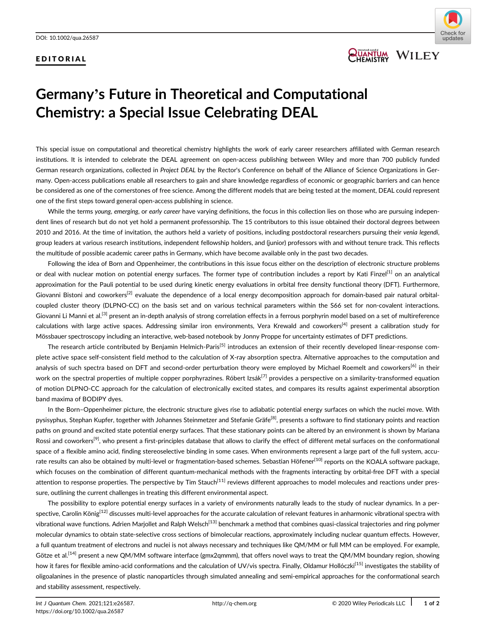### EDITORIAL



## **QUANTUM WILEY**

# Germany's Future in Theoretical and Computational Chemistry: a Special Issue Celebrating DEAL

This special issue on computational and theoretical chemistry highlights the work of early career researchers affiliated with German research institutions. It is intended to celebrate the DEAL agreement on open-access publishing between Wiley and more than 700 publicly funded German research organizations, collected in Project DEAL by the Rector's Conference on behalf of the Alliance of Science Organizations in Germany. Open-access publications enable all researchers to gain and share knowledge regardless of economic or geographic barriers and can hence be considered as one of the cornerstones of free science. Among the different models that are being tested at the moment, DEAL could represent one of the first steps toward general open-access publishing in science.

While the terms young, emerging, or early career have varying definitions, the focus in this collection lies on those who are pursuing independent lines of research but do not yet hold a permanent professorship. The 15 contributors to this issue obtained their doctoral degrees between 2010 and 2016. At the time of invitation, the authors held a variety of positions, including postdoctoral researchers pursuing their venia legendi, group leaders at various research institutions, independent fellowship holders, and (junior) professors with and without tenure track. This reflects the multitude of possible academic career paths in Germany, which have become available only in the past two decades.

Following the idea of Born and Oppenheimer, the contributions in this issue focus either on the description of electronic structure problems or deal with nuclear motion on potential energy surfaces. The former type of contribution includes a report by Kati Finzel<sup>[1]</sup> on an analytical approximation for the Pauli potential to be used during kinetic energy evaluations in orbital free density functional theory (DFT). Furthermore, Giovanni Bistoni and coworkers<sup>[2]</sup> evaluate the dependence of a local energy decomposition approach for domain-based pair natural orbitalcoupled cluster theory (DLPNO-CC) on the basis set and on various technical parameters within the S66 set for non-covalent interactions. Giovanni Li Manni et al.<sup>[3]</sup> present an in-depth analysis of strong correlation effects in a ferrous porphyrin model based on a set of multireference calculations with large active spaces. Addressing similar iron environments, Vera Krewald and coworkers<sup>[4]</sup> present a calibration study for Mössbauer spectroscopy including an interactive, web-based notebook by Jonny Proppe for uncertainty estimates of DFT predictions.

The research article contributed by Benjamin Helmich-Paris<sup>[5]</sup> introduces an extension of their recently developed linear-response complete active space self-consistent field method to the calculation of X-ray absorption spectra. Alternative approaches to the computation and analysis of such spectra based on DFT and second-order perturbation theory were employed by Michael Roemelt and coworkers<sup>[6]</sup> in their work on the spectral properties of multiple copper porphyrazines. Róbert Izsák<sup>[7]</sup> provides a perspective on a similarity-transformed equation of motion DLPNO-CC approach for the calculation of electronically excited states, and compares its results against experimental absorption band maxima of BODIPY dyes.

In the Born–Oppenheimer picture, the electronic structure gives rise to adiabatic potential energy surfaces on which the nuclei move. With pysisyphus, Stephan Kupfer, together with Johannes Steinmetzer and Stefanie Gräfe<sup>[8]</sup>, presents a software to find stationary points and reaction paths on ground and excited state potential energy surfaces. That these stationary points can be altered by an environment is shown by Mariana Rossi and coworkers<sup>[9]</sup>, who present a first-principles database that allows to clarify the effect of different metal surfaces on the conformational space of a flexible amino acid, finding stereoselective binding in some cases. When environments represent a large part of the full system, accurate results can also be obtained by multi-level or fragmentation-based schemes. Sebastian Höfener<sup>[10]</sup> reports on the KOALA software package, which focuses on the combination of different quantum-mechanical methods with the fragments interacting by orbital-free DFT with a special attention to response properties. The perspective by Tim Stauch<sup>[11]</sup> reviews different approaches to model molecules and reactions under pressure, outlining the current challenges in treating this different environmental aspect.

The possibility to explore potential energy surfaces in a variety of environments naturally leads to the study of nuclear dynamics. In a perspective, Carolin König<sup>[12]</sup> discusses multi-level approaches for the accurate calculation of relevant features in anharmonic vibrational spectra with vibrational wave functions. Adrien Marjollet and Ralph Welsch<sup>[13]</sup> benchmark a method that combines quasi-classical trajectories and ring polymer molecular dynamics to obtain state-selective cross sections of bimolecular reactions, approximately including nuclear quantum effects. However, a full quantum treatment of electrons and nuclei is not always necessary and techniques like QM/MM or full MM can be employed. For example, Götze et al.<sup>[14]</sup> present a new QM/MM software interface (gmx2qmmm), that offers novel ways to treat the QM/MM boundary region, showing how it fares for flexible amino-acid conformations and the calculation of UV/vis spectra. Finally, Oldamur Hollóczki<sup>[15]</sup> investigates the stability of oligoalanines in the presence of plastic nanoparticles through simulated annealing and semi-empirical approaches for the conformational search and stability assessment, respectively.